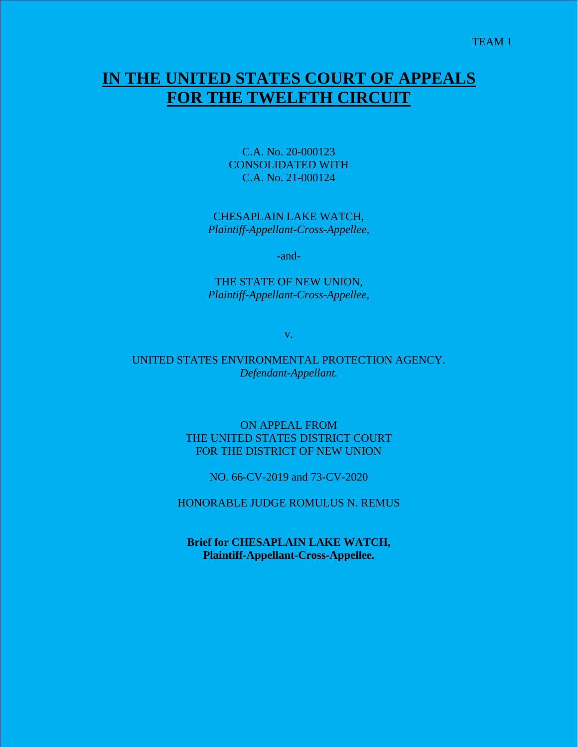# **IN THE UNITED STATES COURT OF APPEALS FOR THE TWELFTH CIRCUIT**

C.A. No. 20-000123 CONSOLIDATED WITH C.A. No. 21-000124

CHESAPLAIN LAKE WATCH, *Plaintiff-Appellant-Cross-Appellee,*

-and-

THE STATE OF NEW UNION, *Plaintiff-Appellant-Cross-Appellee,*

v.

## UNITED STATES ENVIRONMENTAL PROTECTION AGENCY. *Defendant-Appellant.*

## ON APPEAL FROM THE UNITED STATES DISTRICT COURT FOR THE DISTRICT OF NEW UNION

NO. 66-CV-2019 and 73-CV-2020

HONORABLE JUDGE ROMULUS N. REMUS

**Brief for CHESAPLAIN LAKE WATCH, Plaintiff-Appellant-Cross-Appellee.**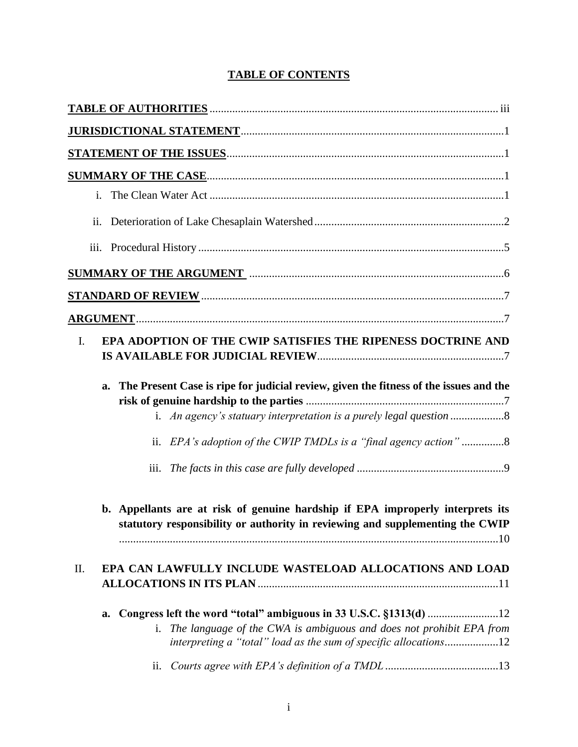## **TABLE OF CONTENTS**

|    | i.                                                                                                                                                              |
|----|-----------------------------------------------------------------------------------------------------------------------------------------------------------------|
|    |                                                                                                                                                                 |
|    |                                                                                                                                                                 |
|    |                                                                                                                                                                 |
|    |                                                                                                                                                                 |
|    |                                                                                                                                                                 |
| I. | EPA ADOPTION OF THE CWIP SATISFIES THE RIPENESS DOCTRINE AND                                                                                                    |
|    |                                                                                                                                                                 |
|    | a. The Present Case is ripe for judicial review, given the fitness of the issues and the                                                                        |
|    | i. An agency's statuary interpretation is a purely legal question                                                                                               |
|    | ii. EPA's adoption of the CWIP TMDLs is a "final agency action" 8                                                                                               |
|    |                                                                                                                                                                 |
|    | b. Appellants are at risk of genuine hardship if EPA improperly interprets its<br>statutory responsibility or authority in reviewing and supplementing the CWIP |
| Π. | EPA CAN LAWFULLY INCLUDE WASTELOAD ALLOCATIONS AND LOAD                                                                                                         |
|    | a.<br>i. The language of the CWA is ambiguous and does not prohibit EPA from<br>interpreting a "total" load as the sum of specific allocations12                |
|    | $\overline{11}$ .                                                                                                                                               |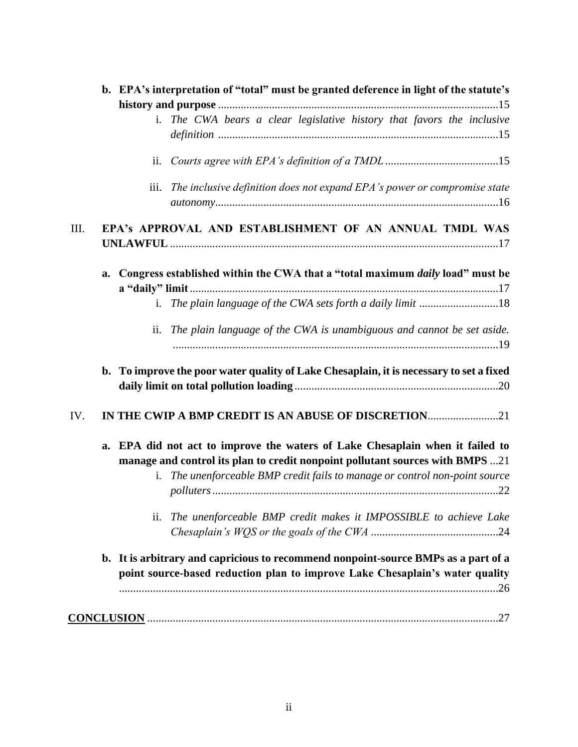|      | b. EPA's interpretation of "total" must be granted deference in light of the statute's                                                                                                                                                           |
|------|--------------------------------------------------------------------------------------------------------------------------------------------------------------------------------------------------------------------------------------------------|
|      |                                                                                                                                                                                                                                                  |
|      | i. The CWA bears a clear legislative history that favors the inclusive                                                                                                                                                                           |
|      | ii.                                                                                                                                                                                                                                              |
|      | The inclusive definition does not expand EPA's power or compromise state<br>iii.                                                                                                                                                                 |
| III. | EPA's APPROVAL AND ESTABLISHMENT OF AN ANNUAL TMDL WAS                                                                                                                                                                                           |
|      | Congress established within the CWA that a "total maximum <i>daily</i> load" must be<br>a.                                                                                                                                                       |
|      | i. The plain language of the CWA sets forth a daily limit 18                                                                                                                                                                                     |
|      | ii. The plain language of the CWA is unambiguous and cannot be set aside.                                                                                                                                                                        |
|      | b. To improve the poor water quality of Lake Chesaplain, it is necessary to set a fixed                                                                                                                                                          |
| IV.  | IN THE CWIP A BMP CREDIT IS AN ABUSE OF DISCRETION21                                                                                                                                                                                             |
|      | EPA did not act to improve the waters of Lake Chesaplain when it failed to<br>a.<br>manage and control its plan to credit nonpoint pollutant sources with BMPS 21<br>i. The unenforceable BMP credit fails to manage or control non-point source |
|      | The unenforceable BMP credit makes it IMPOSSIBLE to achieve Lake<br>$\overline{11}$ .                                                                                                                                                            |
|      | b. It is arbitrary and capricious to recommend nonpoint-source BMPs as a part of a<br>point source-based reduction plan to improve Lake Chesaplain's water quality<br>.26                                                                        |
|      |                                                                                                                                                                                                                                                  |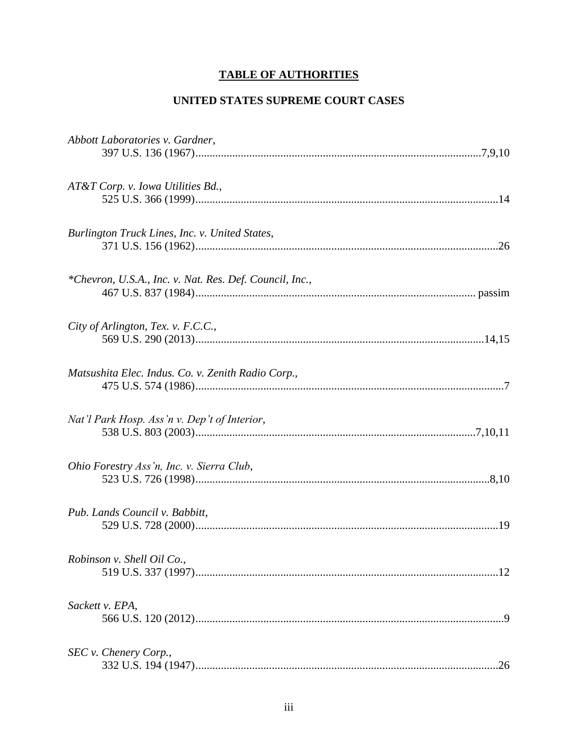## **TABLE OF AUTHORITIES**

## UNITED STATES SUPREME COURT CASES

| Abbott Laboratories v. Gardner,                         |  |
|---------------------------------------------------------|--|
|                                                         |  |
| AT&T Corp. v. Iowa Utilities Bd.,                       |  |
|                                                         |  |
| Burlington Truck Lines, Inc. v. United States,          |  |
|                                                         |  |
| *Chevron, U.S.A., Inc. v. Nat. Res. Def. Council, Inc., |  |
|                                                         |  |
| City of Arlington, Tex. v. F.C.C.,                      |  |
|                                                         |  |
| Matsushita Elec. Indus. Co. v. Zenith Radio Corp.,      |  |
|                                                         |  |
| Nat'l Park Hosp. Ass'n v. Dep't of Interior,            |  |
|                                                         |  |
| Ohio Forestry Ass'n, Inc. v. Sierra Club,               |  |
|                                                         |  |
| Pub. Lands Council v. Babbitt,                          |  |
|                                                         |  |
| Robinson v. Shell Oil Co.,                              |  |
|                                                         |  |
| Sackett v. EPA,                                         |  |
|                                                         |  |
| SEC v. Chenery Corp.,                                   |  |
|                                                         |  |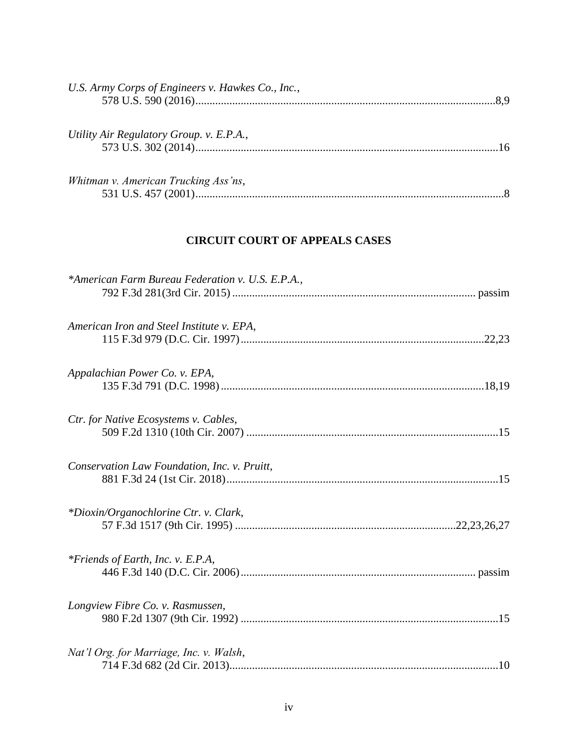| U.S. Army Corps of Engineers v. Hawkes Co., Inc., |  |
|---------------------------------------------------|--|
| Utility Air Regulatory Group. v. E.P.A.,          |  |
| Whitman v. American Trucking Ass'ns,              |  |
|                                                   |  |

## **CIRCUIT COURT OF APPEALS CASES**

| *American Farm Bureau Federation v. U.S. E.P.A., |
|--------------------------------------------------|
| American Iron and Steel Institute v. EPA,        |
| Appalachian Power Co. v. EPA,                    |
| Ctr. for Native Ecosystems v. Cables,            |
| Conservation Law Foundation, Inc. v. Pruitt,     |
| *Dioxin/Organochlorine Ctr. v. Clark,            |
| *Friends of Earth, Inc. v. E.P.A,                |
| Longview Fibre Co. v. Rasmussen,                 |
| Nat'l Org. for Marriage, Inc. v. Walsh,          |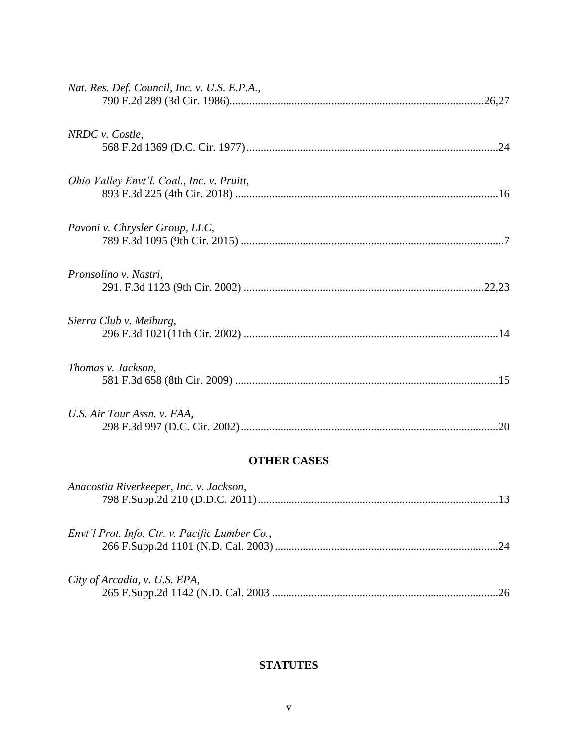| <b>OTHER CASES</b> |  |  |
|--------------------|--|--|
|                    |  |  |
|                    |  |  |
|                    |  |  |
|                    |  |  |
|                    |  |  |
|                    |  |  |
|                    |  |  |
|                    |  |  |
|                    |  |  |

| Anacostia Riverkeeper, Inc. v. Jackson,        |     |
|------------------------------------------------|-----|
| Envt'l Prot. Info. Ctr. v. Pacific Lumber Co., | .24 |
| City of Arcadia, v. U.S. EPA,                  | 26  |

## **STATUTES**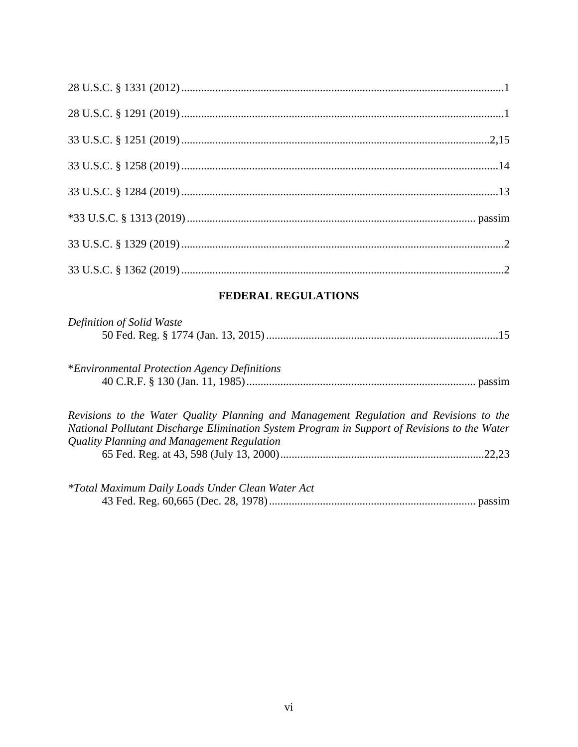## FEDERAL REGULATIONS

| Definition of Solid Waste                                                                                                                                                                                                            |  |
|--------------------------------------------------------------------------------------------------------------------------------------------------------------------------------------------------------------------------------------|--|
| *Environmental Protection Agency Definitions                                                                                                                                                                                         |  |
| Revisions to the Water Quality Planning and Management Regulation and Revisions to the<br>National Pollutant Discharge Elimination System Program in Support of Revisions to the Water<br>Quality Planning and Management Regulation |  |
| <i>*Total Maximum Daily Loads Under Clean Water Act</i>                                                                                                                                                                              |  |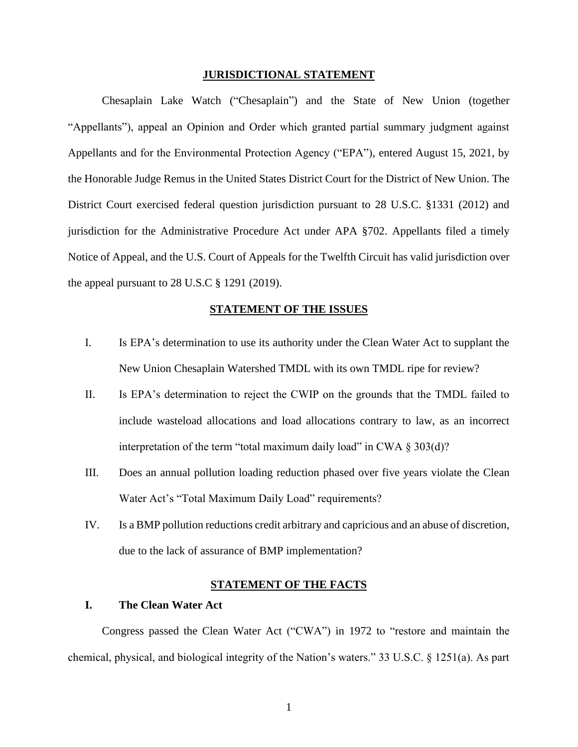#### **JURISDICTIONAL STATEMENT**

Chesaplain Lake Watch ("Chesaplain") and the State of New Union (together "Appellants"), appeal an Opinion and Order which granted partial summary judgment against Appellants and for the Environmental Protection Agency ("EPA"), entered August 15, 2021, by the Honorable Judge Remus in the United States District Court for the District of New Union. The District Court exercised federal question jurisdiction pursuant to 28 U.S.C. §1331 (2012) and jurisdiction for the Administrative Procedure Act under APA §702. Appellants filed a timely Notice of Appeal, and the U.S. Court of Appeals for the Twelfth Circuit has valid jurisdiction over the appeal pursuant to  $28$  U.S.C  $\S$  1291 (2019).

#### **STATEMENT OF THE ISSUES**

- I. Is EPA's determination to use its authority under the Clean Water Act to supplant the New Union Chesaplain Watershed TMDL with its own TMDL ripe for review?
- II. Is EPA's determination to reject the CWIP on the grounds that the TMDL failed to include wasteload allocations and load allocations contrary to law, as an incorrect interpretation of the term "total maximum daily load" in CWA  $\S 303(d)$ ?
- III. Does an annual pollution loading reduction phased over five years violate the Clean Water Act's "Total Maximum Daily Load" requirements?
- IV. Is a BMP pollution reductions credit arbitrary and capricious and an abuse of discretion, due to the lack of assurance of BMP implementation?

#### **STATEMENT OF THE FACTS**

## **I. The Clean Water Act**

Congress passed the Clean Water Act ("CWA") in 1972 to "restore and maintain the chemical, physical, and biological integrity of the Nation's waters." 33 U.S.C. § 1251(a). As part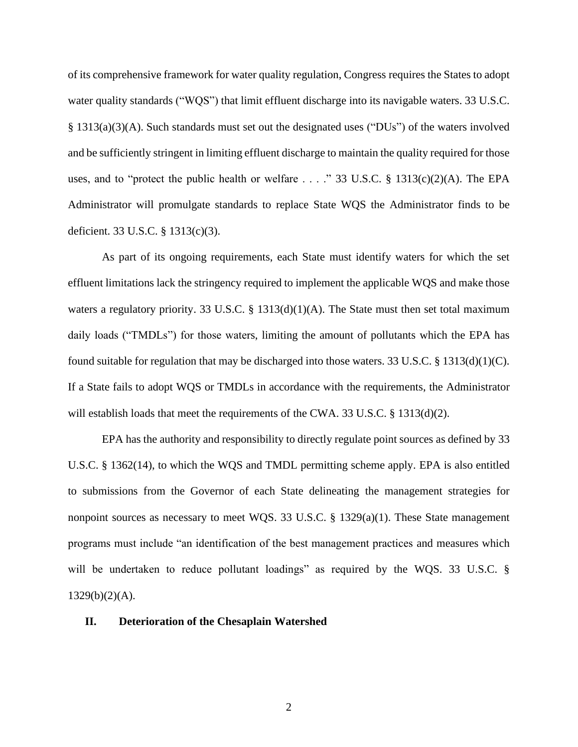of its comprehensive framework for water quality regulation, Congress requires the States to adopt water quality standards ("WQS") that limit effluent discharge into its navigable waters. 33 U.S.C. § 1313(a)(3)(A). Such standards must set out the designated uses ("DUs") of the waters involved and be sufficiently stringent in limiting effluent discharge to maintain the quality required for those uses, and to "protect the public health or welfare  $\dots$ ." 33 U.S.C. § 1313(c)(2)(A). The EPA Administrator will promulgate standards to replace State WQS the Administrator finds to be deficient. 33 U.S.C. § 1313(c)(3).

As part of its ongoing requirements, each State must identify waters for which the set effluent limitations lack the stringency required to implement the applicable WQS and make those waters a regulatory priority. 33 U.S.C. § 1313(d)(1)(A). The State must then set total maximum daily loads ("TMDLs") for those waters, limiting the amount of pollutants which the EPA has found suitable for regulation that may be discharged into those waters. 33 U.S.C. § 1313(d)(1)(C). If a State fails to adopt WQS or TMDLs in accordance with the requirements, the Administrator will establish loads that meet the requirements of the CWA. 33 U.S.C.  $\S$  1313(d)(2).

EPA has the authority and responsibility to directly regulate point sources as defined by 33 U.S.C. § 1362(14), to which the WQS and TMDL permitting scheme apply. EPA is also entitled to submissions from the Governor of each State delineating the management strategies for nonpoint sources as necessary to meet WQS. 33 U.S.C. § 1329(a)(1). These State management programs must include "an identification of the best management practices and measures which will be undertaken to reduce pollutant loadings" as required by the WQS. 33 U.S.C. §  $1329(b)(2)(A)$ .

#### **II. Deterioration of the Chesaplain Watershed**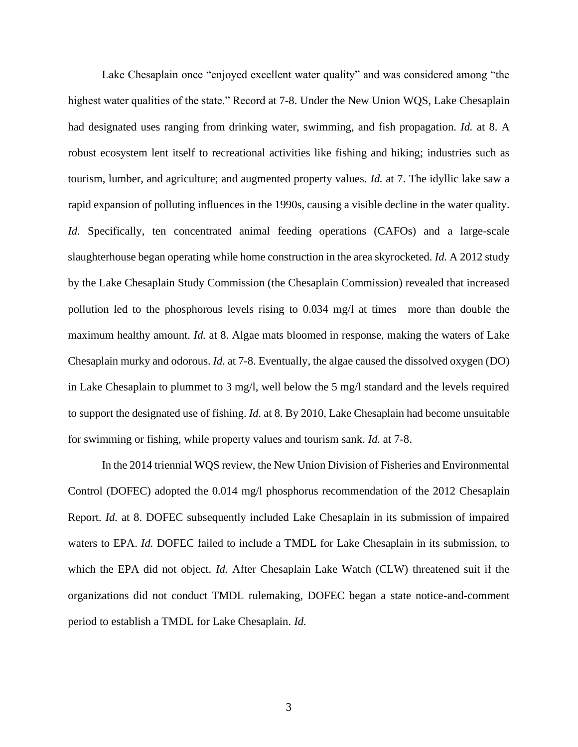Lake Chesaplain once "enjoyed excellent water quality" and was considered among "the highest water qualities of the state." Record at 7-8. Under the New Union WQS, Lake Chesaplain had designated uses ranging from drinking water, swimming, and fish propagation. *Id.* at 8. A robust ecosystem lent itself to recreational activities like fishing and hiking; industries such as tourism, lumber, and agriculture; and augmented property values. *Id.* at 7. The idyllic lake saw a rapid expansion of polluting influences in the 1990s, causing a visible decline in the water quality. *Id.* Specifically, ten concentrated animal feeding operations (CAFOs) and a large-scale slaughterhouse began operating while home construction in the area skyrocketed. *Id.* A 2012 study by the Lake Chesaplain Study Commission (the Chesaplain Commission) revealed that increased pollution led to the phosphorous levels rising to 0.034 mg/l at times—more than double the maximum healthy amount. *Id.* at 8. Algae mats bloomed in response, making the waters of Lake Chesaplain murky and odorous. *Id.* at 7-8. Eventually, the algae caused the dissolved oxygen (DO) in Lake Chesaplain to plummet to 3 mg/l, well below the 5 mg/l standard and the levels required to support the designated use of fishing. *Id.* at 8. By 2010, Lake Chesaplain had become unsuitable for swimming or fishing, while property values and tourism sank. *Id.* at 7-8.

In the 2014 triennial WQS review, the New Union Division of Fisheries and Environmental Control (DOFEC) adopted the 0.014 mg/l phosphorus recommendation of the 2012 Chesaplain Report. *Id.* at 8. DOFEC subsequently included Lake Chesaplain in its submission of impaired waters to EPA. *Id.* DOFEC failed to include a TMDL for Lake Chesaplain in its submission, to which the EPA did not object. *Id.* After Chesaplain Lake Watch (CLW) threatened suit if the organizations did not conduct TMDL rulemaking, DOFEC began a state notice-and-comment period to establish a TMDL for Lake Chesaplain. *Id.*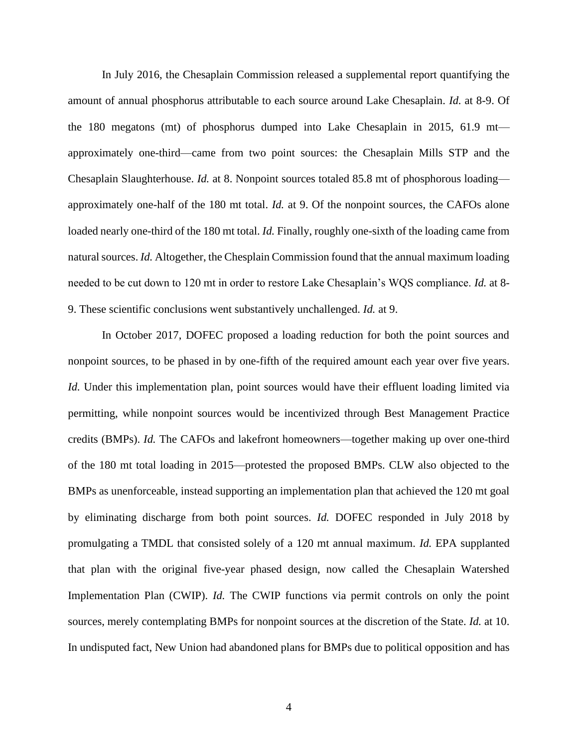In July 2016, the Chesaplain Commission released a supplemental report quantifying the amount of annual phosphorus attributable to each source around Lake Chesaplain. *Id.* at 8-9. Of the 180 megatons (mt) of phosphorus dumped into Lake Chesaplain in 2015, 61.9 mt approximately one-third—came from two point sources: the Chesaplain Mills STP and the Chesaplain Slaughterhouse. *Id.* at 8. Nonpoint sources totaled 85.8 mt of phosphorous loading approximately one-half of the 180 mt total. *Id.* at 9. Of the nonpoint sources, the CAFOs alone loaded nearly one-third of the 180 mt total. *Id.* Finally, roughly one-sixth of the loading came from natural sources. *Id.* Altogether, the Chesplain Commission found that the annual maximum loading needed to be cut down to 120 mt in order to restore Lake Chesaplain's WQS compliance. *Id.* at 8- 9. These scientific conclusions went substantively unchallenged. *Id.* at 9.

In October 2017, DOFEC proposed a loading reduction for both the point sources and nonpoint sources, to be phased in by one-fifth of the required amount each year over five years. *Id.* Under this implementation plan, point sources would have their effluent loading limited via permitting, while nonpoint sources would be incentivized through Best Management Practice credits (BMPs). *Id.* The CAFOs and lakefront homeowners—together making up over one-third of the 180 mt total loading in 2015—protested the proposed BMPs. CLW also objected to the BMPs as unenforceable, instead supporting an implementation plan that achieved the 120 mt goal by eliminating discharge from both point sources. *Id.* DOFEC responded in July 2018 by promulgating a TMDL that consisted solely of a 120 mt annual maximum. *Id.* EPA supplanted that plan with the original five-year phased design, now called the Chesaplain Watershed Implementation Plan (CWIP). *Id.* The CWIP functions via permit controls on only the point sources, merely contemplating BMPs for nonpoint sources at the discretion of the State. *Id.* at 10. In undisputed fact, New Union had abandoned plans for BMPs due to political opposition and has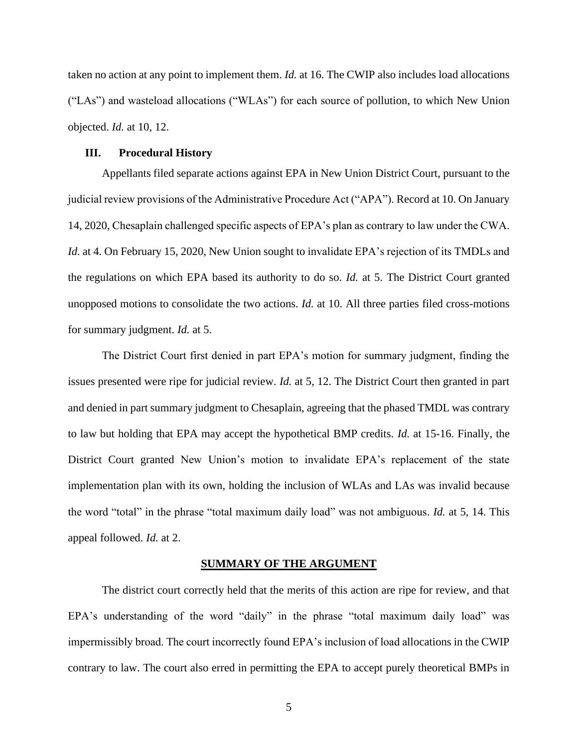taken no action at any point to implement them. *Id.* at 16. The CWIP also includes load allocations ("LAs") and wasteload allocations ("WLAs") for each source of pollution, to which New Union objected. *Id.* at 10, 12.

#### **III. Procedural History**

Appellants filed separate actions against EPA in New Union District Court, pursuant to the judicial review provisions of the Administrative Procedure Act ("APA"). Record at 10. On January 14, 2020, Chesaplain challenged specific aspects of EPA's plan as contrary to law under the CWA. *Id.* at 4. On February 15, 2020, New Union sought to invalidate EPA's rejection of its TMDLs and the regulations on which EPA based its authority to do so. *Id.* at 5. The District Court granted unopposed motions to consolidate the two actions. *Id.* at 10. All three parties filed cross-motions for summary judgment. *Id.* at 5.

The District Court first denied in part EPA's motion for summary judgment, finding the issues presented were ripe for judicial review. *Id.* at 5, 12. The District Court then granted in part and denied in part summary judgment to Chesaplain, agreeing that the phased TMDL was contrary to law but holding that EPA may accept the hypothetical BMP credits. *Id.* at 15-16. Finally, the District Court granted New Union's motion to invalidate EPA's replacement of the state implementation plan with its own, holding the inclusion of WLAs and LAs was invalid because the word "total" in the phrase "total maximum daily load" was not ambiguous. *Id.* at 5, 14. This appeal followed. *Id.* at 2.

#### **SUMMARY OF THE ARGUMENT**

The district court correctly held that the merits of this action are ripe for review, and that EPA's understanding of the word "daily" in the phrase "total maximum daily load" was impermissibly broad. The court incorrectly found EPA's inclusion of load allocations in the CWIP contrary to law. The court also erred in permitting the EPA to accept purely theoretical BMPs in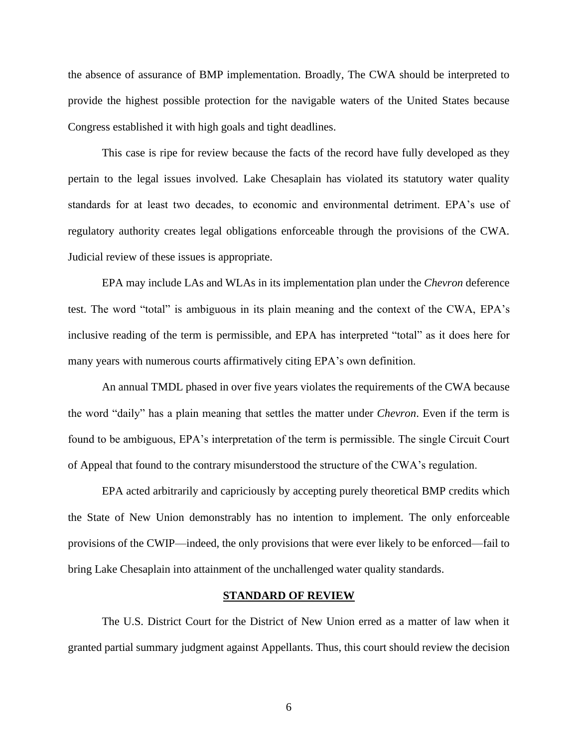the absence of assurance of BMP implementation. Broadly, The CWA should be interpreted to provide the highest possible protection for the navigable waters of the United States because Congress established it with high goals and tight deadlines.

This case is ripe for review because the facts of the record have fully developed as they pertain to the legal issues involved. Lake Chesaplain has violated its statutory water quality standards for at least two decades, to economic and environmental detriment. EPA's use of regulatory authority creates legal obligations enforceable through the provisions of the CWA. Judicial review of these issues is appropriate.

EPA may include LAs and WLAs in its implementation plan under the *Chevron* deference test. The word "total" is ambiguous in its plain meaning and the context of the CWA, EPA's inclusive reading of the term is permissible, and EPA has interpreted "total" as it does here for many years with numerous courts affirmatively citing EPA's own definition.

An annual TMDL phased in over five years violates the requirements of the CWA because the word "daily" has a plain meaning that settles the matter under *Chevron*. Even if the term is found to be ambiguous, EPA's interpretation of the term is permissible. The single Circuit Court of Appeal that found to the contrary misunderstood the structure of the CWA's regulation.

EPA acted arbitrarily and capriciously by accepting purely theoretical BMP credits which the State of New Union demonstrably has no intention to implement. The only enforceable provisions of the CWIP—indeed, the only provisions that were ever likely to be enforced—fail to bring Lake Chesaplain into attainment of the unchallenged water quality standards.

#### **STANDARD OF REVIEW**

The U.S. District Court for the District of New Union erred as a matter of law when it granted partial summary judgment against Appellants. Thus, this court should review the decision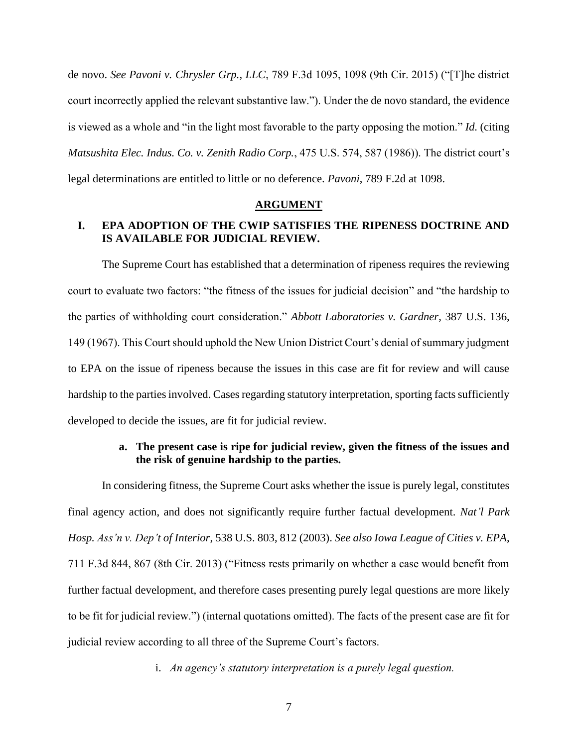de novo. *See Pavoni v. Chrysler Grp., LLC*, 789 F.3d 1095, 1098 (9th Cir. 2015) ("[T]he district court incorrectly applied the relevant substantive law."). Under the de novo standard, the evidence is viewed as a whole and "in the light most favorable to the party opposing the motion." *Id.* (citing *Matsushita Elec. Indus. Co. v. Zenith Radio Corp.*, 475 U.S. 574, 587 (1986)). The district court's legal determinations are entitled to little or no deference. *Pavoni*, 789 F.2d at 1098.

#### **ARGUMENT**

## **I. EPA ADOPTION OF THE CWIP SATISFIES THE RIPENESS DOCTRINE AND IS AVAILABLE FOR JUDICIAL REVIEW.**

The Supreme Court has established that a determination of ripeness requires the reviewing court to evaluate two factors: "the fitness of the issues for judicial decision" and "the hardship to the parties of withholding court consideration." *Abbott Laboratories v. Gardner*, 387 U.S. 136, 149 (1967). This Court should uphold the New Union District Court's denial of summary judgment to EPA on the issue of ripeness because the issues in this case are fit for review and will cause hardship to the parties involved. Cases regarding statutory interpretation, sporting facts sufficiently developed to decide the issues, are fit for judicial review.

## **a. The present case is ripe for judicial review, given the fitness of the issues and the risk of genuine hardship to the parties.**

In considering fitness, the Supreme Court asks whether the issue is purely legal, constitutes final agency action, and does not significantly require further factual development. *Nat'l Park Hosp. Ass'n v. Dep't of Interior*, 538 U.S. 803, 812 (2003). *See also Iowa League of Cities v. EPA*, 711 F.3d 844, 867 (8th Cir. 2013) ("Fitness rests primarily on whether a case would benefit from further factual development, and therefore cases presenting purely legal questions are more likely to be fit for judicial review.") (internal quotations omitted). The facts of the present case are fit for judicial review according to all three of the Supreme Court's factors.

i. *An agency's statutory interpretation is a purely legal question.*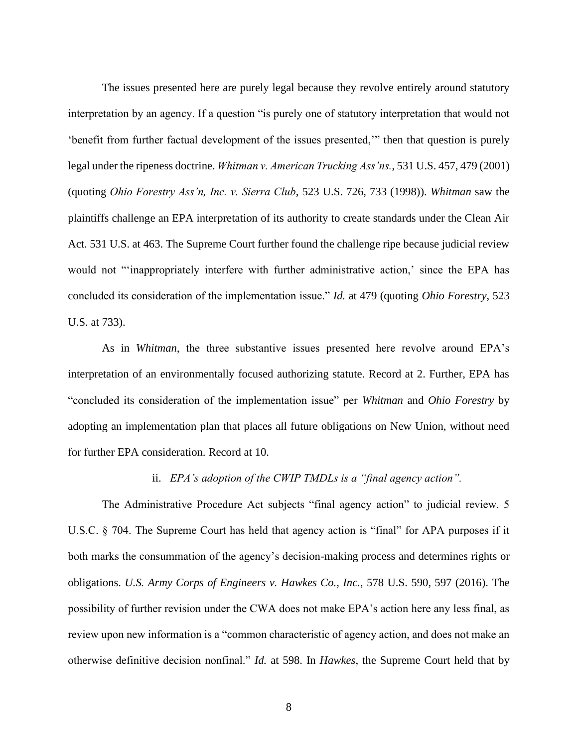The issues presented here are purely legal because they revolve entirely around statutory interpretation by an agency. If a question "is purely one of statutory interpretation that would not 'benefit from further factual development of the issues presented,'" then that question is purely legal under the ripeness doctrine. *Whitman v. American Trucking Ass'ns.*, 531 U.S. 457, 479 (2001) (quoting *Ohio Forestry Ass'n, Inc. v. Sierra Club*, 523 U.S. 726, 733 (1998)). *Whitman* saw the plaintiffs challenge an EPA interpretation of its authority to create standards under the Clean Air Act. 531 U.S. at 463. The Supreme Court further found the challenge ripe because judicial review would not "'inappropriately interfere with further administrative action,' since the EPA has concluded its consideration of the implementation issue." *Id.* at 479 (quoting *Ohio Forestry*, 523 U.S. at 733).

As in *Whitman*, the three substantive issues presented here revolve around EPA's interpretation of an environmentally focused authorizing statute. Record at 2. Further, EPA has "concluded its consideration of the implementation issue" per *Whitman* and *Ohio Forestry* by adopting an implementation plan that places all future obligations on New Union, without need for further EPA consideration. Record at 10.

#### ii. *EPA's adoption of the CWIP TMDLs is a "final agency action".*

The Administrative Procedure Act subjects "final agency action" to judicial review. 5 U.S.C. § 704. The Supreme Court has held that agency action is "final" for APA purposes if it both marks the consummation of the agency's decision-making process and determines rights or obligations. *U.S. Army Corps of Engineers v. Hawkes Co., Inc.*, 578 U.S. 590, 597 (2016). The possibility of further revision under the CWA does not make EPA's action here any less final, as review upon new information is a "common characteristic of agency action, and does not make an otherwise definitive decision nonfinal." *Id.* at 598. In *Hawkes*, the Supreme Court held that by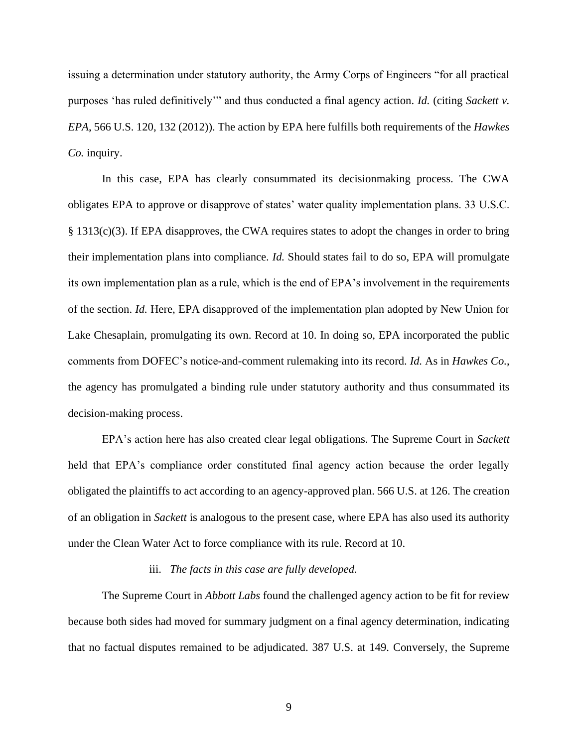issuing a determination under statutory authority, the Army Corps of Engineers "for all practical purposes 'has ruled definitively'" and thus conducted a final agency action. *Id.* (citing *Sackett v. EPA*, 566 U.S. 120, 132 (2012)). The action by EPA here fulfills both requirements of the *Hawkes Co.* inquiry.

In this case, EPA has clearly consummated its decisionmaking process. The CWA obligates EPA to approve or disapprove of states' water quality implementation plans. 33 U.S.C. § 1313(c)(3). If EPA disapproves, the CWA requires states to adopt the changes in order to bring their implementation plans into compliance. *Id.* Should states fail to do so, EPA will promulgate its own implementation plan as a rule, which is the end of EPA's involvement in the requirements of the section. *Id.* Here, EPA disapproved of the implementation plan adopted by New Union for Lake Chesaplain, promulgating its own. Record at 10. In doing so, EPA incorporated the public comments from DOFEC's notice-and-comment rulemaking into its record. *Id.* As in *Hawkes Co.*, the agency has promulgated a binding rule under statutory authority and thus consummated its decision-making process.

EPA's action here has also created clear legal obligations. The Supreme Court in *Sackett* held that EPA's compliance order constituted final agency action because the order legally obligated the plaintiffs to act according to an agency-approved plan. 566 U.S. at 126. The creation of an obligation in *Sackett* is analogous to the present case, where EPA has also used its authority under the Clean Water Act to force compliance with its rule. Record at 10.

#### iii. *The facts in this case are fully developed.*

The Supreme Court in *Abbott Labs* found the challenged agency action to be fit for review because both sides had moved for summary judgment on a final agency determination, indicating that no factual disputes remained to be adjudicated. 387 U.S. at 149. Conversely, the Supreme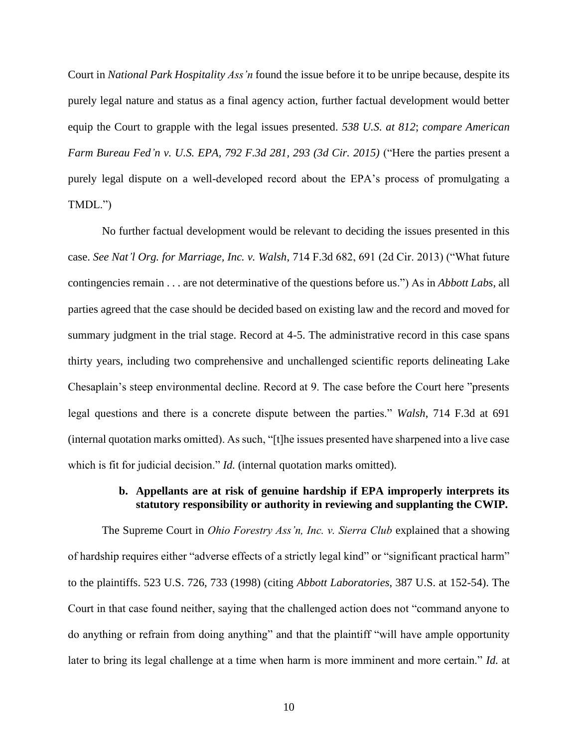Court in *National Park Hospitality Ass'n* found the issue before it to be unripe because, despite its purely legal nature and status as a final agency action, further factual development would better equip the Court to grapple with the legal issues presented. *538 U.S. at 812*; *compare American Farm Bureau Fed'n v. U.S. EPA, 792 F.3d 281, 293 (3d Cir. 2015)* ("Here the parties present a purely legal dispute on a well-developed record about the EPA's process of promulgating a TMDL.")

No further factual development would be relevant to deciding the issues presented in this case. *See Nat'l Org. for Marriage, Inc. v. Walsh*, 714 F.3d 682, 691 (2d Cir. 2013) ("What future contingencies remain . . . are not determinative of the questions before us.") As in *Abbott Labs*, all parties agreed that the case should be decided based on existing law and the record and moved for summary judgment in the trial stage. Record at 4-5. The administrative record in this case spans thirty years, including two comprehensive and unchallenged scientific reports delineating Lake Chesaplain's steep environmental decline. Record at 9. The case before the Court here "presents legal questions and there is a concrete dispute between the parties." *Walsh*, 714 F.3d at 691 (internal quotation marks omitted). As such, "[t]he issues presented have sharpened into a live case which is fit for judicial decision." *Id.* (internal quotation marks omitted).

## **b. Appellants are at risk of genuine hardship if EPA improperly interprets its statutory responsibility or authority in reviewing and supplanting the CWIP.**

The Supreme Court in *Ohio Forestry Ass'n, Inc. v. Sierra Club* explained that a showing of hardship requires either "adverse effects of a strictly legal kind" or "significant practical harm" to the plaintiffs. 523 U.S. 726, 733 (1998) (citing *Abbott Laboratories*, 387 U.S. at 152-54). The Court in that case found neither, saying that the challenged action does not "command anyone to do anything or refrain from doing anything" and that the plaintiff "will have ample opportunity later to bring its legal challenge at a time when harm is more imminent and more certain." *Id.* at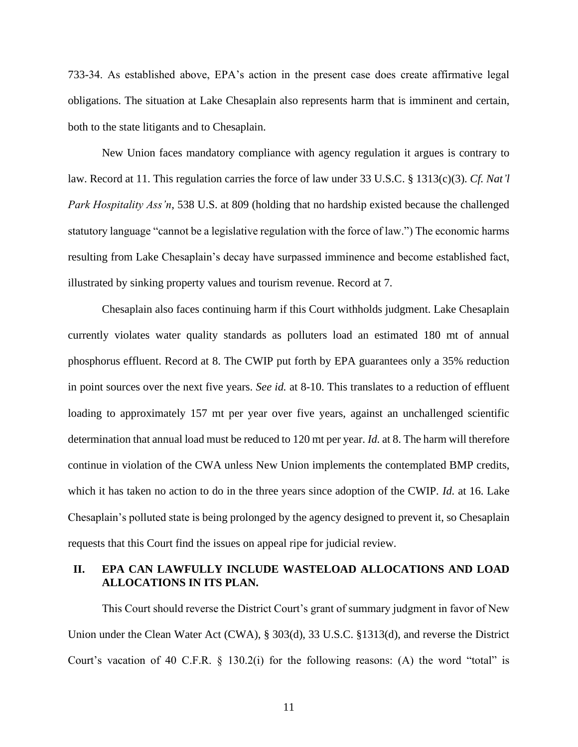733-34. As established above, EPA's action in the present case does create affirmative legal obligations. The situation at Lake Chesaplain also represents harm that is imminent and certain, both to the state litigants and to Chesaplain.

New Union faces mandatory compliance with agency regulation it argues is contrary to law. Record at 11. This regulation carries the force of law under 33 U.S.C. § 1313(c)(3). *Cf. Nat'l Park Hospitality Ass'n*, 538 U.S. at 809 (holding that no hardship existed because the challenged statutory language "cannot be a legislative regulation with the force of law.") The economic harms resulting from Lake Chesaplain's decay have surpassed imminence and become established fact, illustrated by sinking property values and tourism revenue. Record at 7.

Chesaplain also faces continuing harm if this Court withholds judgment. Lake Chesaplain currently violates water quality standards as polluters load an estimated 180 mt of annual phosphorus effluent. Record at 8. The CWIP put forth by EPA guarantees only a 35% reduction in point sources over the next five years. *See id.* at 8-10. This translates to a reduction of effluent loading to approximately 157 mt per year over five years, against an unchallenged scientific determination that annual load must be reduced to 120 mt per year. *Id.* at 8. The harm will therefore continue in violation of the CWA unless New Union implements the contemplated BMP credits, which it has taken no action to do in the three years since adoption of the CWIP. *Id.* at 16. Lake Chesaplain's polluted state is being prolonged by the agency designed to prevent it, so Chesaplain requests that this Court find the issues on appeal ripe for judicial review.

## **II. EPA CAN LAWFULLY INCLUDE WASTELOAD ALLOCATIONS AND LOAD ALLOCATIONS IN ITS PLAN.**

This Court should reverse the District Court's grant of summary judgment in favor of New Union under the Clean Water Act (CWA), § 303(d), 33 U.S.C. §1313(d), and reverse the District Court's vacation of 40 C.F.R.  $\S$  130.2(i) for the following reasons: (A) the word "total" is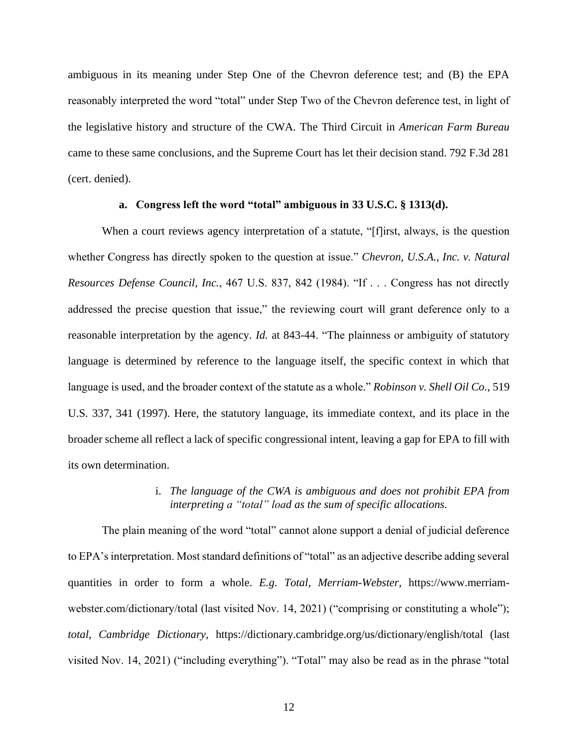ambiguous in its meaning under Step One of the Chevron deference test; and (B) the EPA reasonably interpreted the word "total" under Step Two of the Chevron deference test, in light of the legislative history and structure of the CWA. The Third Circuit in *American Farm Bureau* came to these same conclusions, and the Supreme Court has let their decision stand. 792 F.3d 281 (cert. denied).

#### **a. Congress left the word "total" ambiguous in 33 U.S.C. § 1313(d).**

When a court reviews agency interpretation of a statute, "[f]irst, always, is the question whether Congress has directly spoken to the question at issue." *Chevron, U.S.A., Inc. v. Natural Resources Defense Council, Inc.*, 467 U.S. 837, 842 (1984). "If . . . Congress has not directly addressed the precise question that issue," the reviewing court will grant deference only to a reasonable interpretation by the agency. *Id.* at 843-44. "The plainness or ambiguity of statutory language is determined by reference to the language itself, the specific context in which that language is used, and the broader context of the statute as a whole." *Robinson v. Shell Oil Co.*, 519 U.S. 337, 341 (1997). Here, the statutory language, its immediate context, and its place in the broader scheme all reflect a lack of specific congressional intent, leaving a gap for EPA to fill with its own determination.

## i. *The language of the CWA is ambiguous and does not prohibit EPA from interpreting a "total" load as the sum of specific allocations.*

The plain meaning of the word "total" cannot alone support a denial of judicial deference to EPA's interpretation. Most standard definitions of "total" as an adjective describe adding several quantities in order to form a whole. *E.g. Total*, *Merriam-Webster*, https://www.merriamwebster.com/dictionary/total (last visited Nov. 14, 2021) ("comprising or constituting a whole"); *total*, *Cambridge Dictionary*, https://dictionary.cambridge.org/us/dictionary/english/total (last visited Nov. 14, 2021) ("including everything"). "Total" may also be read as in the phrase "total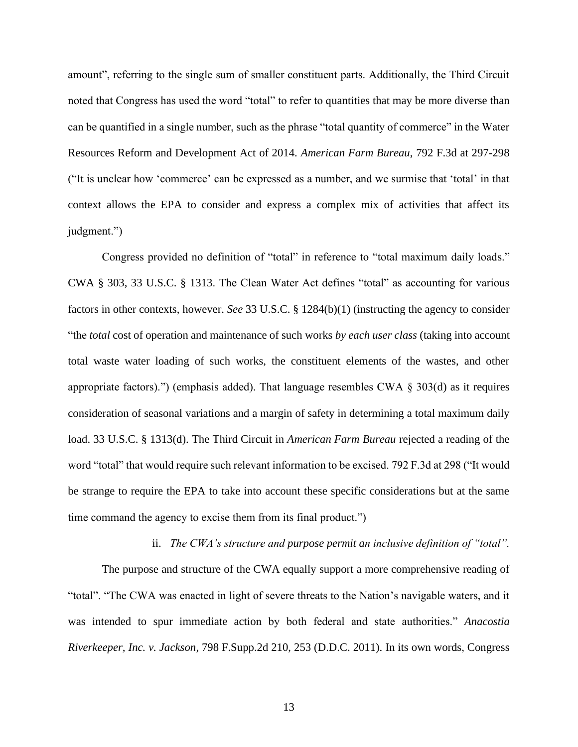amount", referring to the single sum of smaller constituent parts. Additionally, the Third Circuit noted that Congress has used the word "total" to refer to quantities that may be more diverse than can be quantified in a single number, such as the phrase "total quantity of commerce" in the Water Resources Reform and Development Act of 2014. *American Farm Bureau*, 792 F.3d at 297-298 ("It is unclear how 'commerce' can be expressed as a number, and we surmise that 'total' in that context allows the EPA to consider and express a complex mix of activities that affect its judgment.")

Congress provided no definition of "total" in reference to "total maximum daily loads." CWA § 303, 33 U.S.C. § 1313. The Clean Water Act defines "total" as accounting for various factors in other contexts, however. *See* 33 U.S.C. § 1284(b)(1) (instructing the agency to consider "the *total* cost of operation and maintenance of such works *by each user class* (taking into account total waste water loading of such works, the constituent elements of the wastes, and other appropriate factors).") (emphasis added). That language resembles CWA  $\S$  303(d) as it requires consideration of seasonal variations and a margin of safety in determining a total maximum daily load. 33 U.S.C. § 1313(d). The Third Circuit in *American Farm Bureau* rejected a reading of the word "total" that would require such relevant information to be excised. 792 F.3d at 298 ("It would be strange to require the EPA to take into account these specific considerations but at the same time command the agency to excise them from its final product.")

#### ii. *The CWA's structure and purpose permit an inclusive definition of "total".*

The purpose and structure of the CWA equally support a more comprehensive reading of "total". "The CWA was enacted in light of severe threats to the Nation's navigable waters, and it was intended to spur immediate action by both federal and state authorities." *Anacostia Riverkeeper, Inc. v. Jackson*, 798 F.Supp.2d 210, 253 (D.D.C. 2011). In its own words, Congress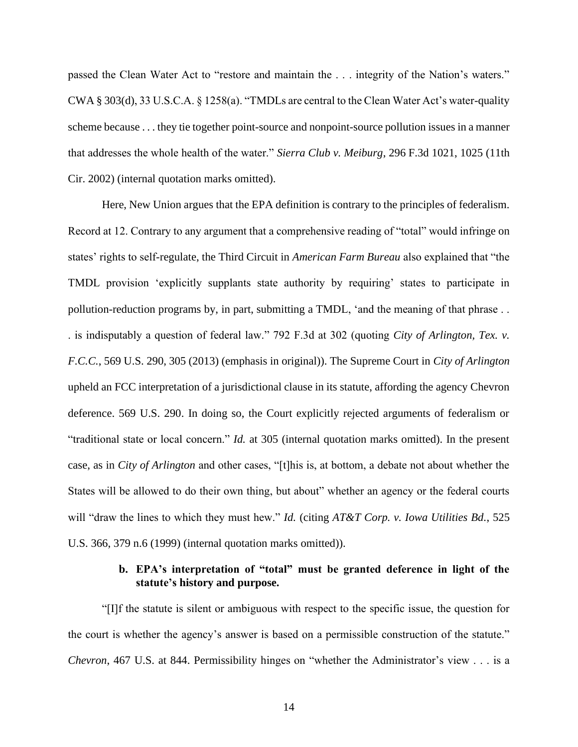passed the Clean Water Act to "restore and maintain the . . . integrity of the Nation's waters." CWA § 303(d), 33 U.S.C.A. § 1258(a). "TMDLs are central to the Clean Water Act's water-quality scheme because . . . they tie together point-source and nonpoint-source pollution issues in a manner that addresses the whole health of the water." *Sierra Club v. Meiburg*, 296 F.3d 1021, 1025 (11th Cir. 2002) (internal quotation marks omitted).

Here, New Union argues that the EPA definition is contrary to the principles of federalism. Record at 12. Contrary to any argument that a comprehensive reading of "total" would infringe on states' rights to self-regulate, the Third Circuit in *American Farm Bureau* also explained that "the TMDL provision 'explicitly supplants state authority by requiring' states to participate in pollution-reduction programs by, in part, submitting a TMDL, 'and the meaning of that phrase . . . is indisputably a question of federal law." 792 F.3d at 302 (quoting *City of Arlington, Tex. v. F.C.C.*, 569 U.S. 290, 305 (2013) (emphasis in original)). The Supreme Court in *City of Arlington* upheld an FCC interpretation of a jurisdictional clause in its statute, affording the agency Chevron deference. 569 U.S. 290. In doing so, the Court explicitly rejected arguments of federalism or "traditional state or local concern." *Id.* at 305 (internal quotation marks omitted). In the present case, as in *City of Arlington* and other cases, "[t]his is, at bottom, a debate not about whether the States will be allowed to do their own thing, but about" whether an agency or the federal courts will "draw the lines to which they must hew." *Id.* (citing *AT&T Corp. v. Iowa Utilities Bd.*, 525 U.S. 366, 379 n.6 (1999) (internal quotation marks omitted)).

## **b. EPA's interpretation of "total" must be granted deference in light of the statute's history and purpose.**

"[I]f the statute is silent or ambiguous with respect to the specific issue, the question for the court is whether the agency's answer is based on a permissible construction of the statute." *Chevron*, 467 U.S. at 844. Permissibility hinges on "whether the Administrator's view . . . is a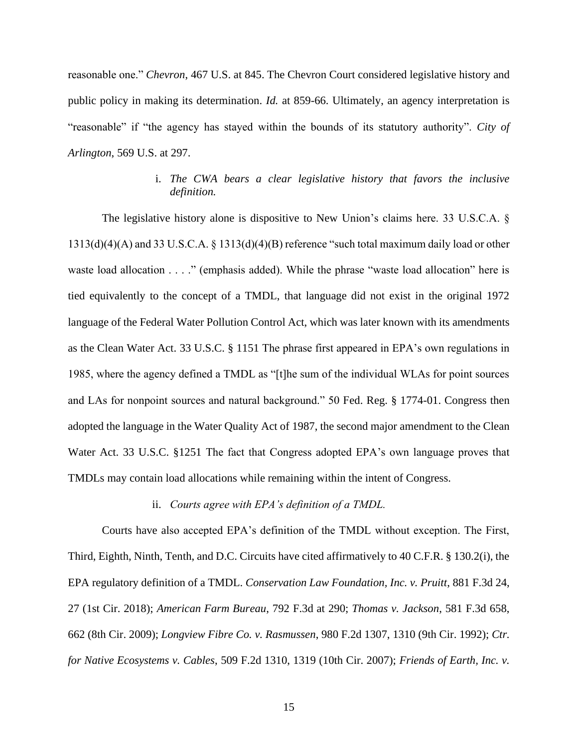reasonable one." *Chevron*, 467 U.S. at 845. The Chevron Court considered legislative history and public policy in making its determination. *Id.* at 859-66. Ultimately, an agency interpretation is "reasonable" if "the agency has stayed within the bounds of its statutory authority". *City of Arlington*, 569 U.S. at 297.

## i. *The CWA bears a clear legislative history that favors the inclusive definition.*

The legislative history alone is dispositive to New Union's claims here. 33 U.S.C.A. § 1313(d)(4)(A) and 33 U.S.C.A. § 1313(d)(4)(B) reference "such total maximum daily load or other waste load allocation . . . ." (emphasis added). While the phrase "waste load allocation" here is tied equivalently to the concept of a TMDL, that language did not exist in the original 1972 language of the Federal Water Pollution Control Act, which was later known with its amendments as the Clean Water Act. 33 U.S.C. § 1151 The phrase first appeared in EPA's own regulations in 1985, where the agency defined a TMDL as "[t]he sum of the individual WLAs for point sources and LAs for nonpoint sources and natural background." 50 Fed. Reg. § 1774-01. Congress then adopted the language in the Water Quality Act of 1987, the second major amendment to the Clean Water Act. 33 U.S.C. §1251 The fact that Congress adopted EPA's own language proves that TMDLs may contain load allocations while remaining within the intent of Congress.

#### ii. *Courts agree with EPA's definition of a TMDL.*

Courts have also accepted EPA's definition of the TMDL without exception. The First, Third, Eighth, Ninth, Tenth, and D.C. Circuits have cited affirmatively to 40 C.F.R. § 130.2(i), the EPA regulatory definition of a TMDL. *Conservation Law Foundation, Inc. v. Pruitt*, 881 F.3d 24, 27 (1st Cir. 2018); *American Farm Bureau*, 792 F.3d at 290; *Thomas v. Jackson*, 581 F.3d 658, 662 (8th Cir. 2009); *Longview Fibre Co. v. Rasmussen*, 980 F.2d 1307, 1310 (9th Cir. 1992); *Ctr. for Native Ecosystems v. Cables*, 509 F.2d 1310, 1319 (10th Cir. 2007); *Friends of Earth, Inc. v.*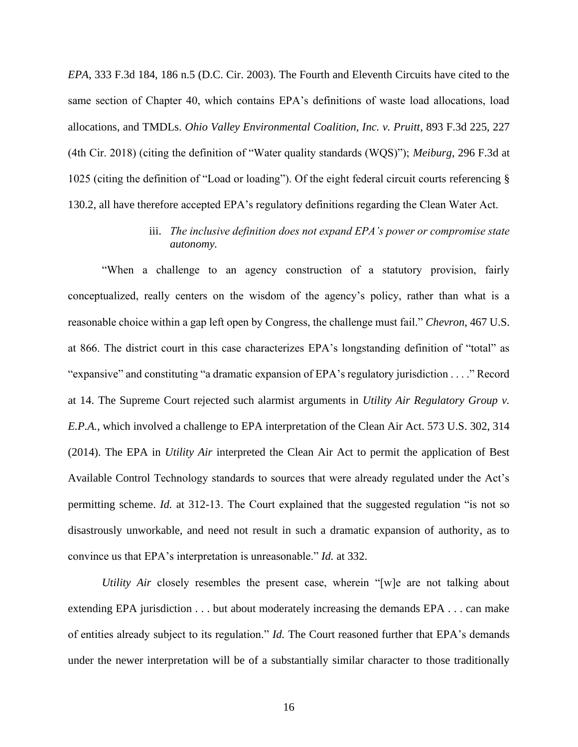*EPA*, 333 F.3d 184, 186 n.5 (D.C. Cir. 2003). The Fourth and Eleventh Circuits have cited to the same section of Chapter 40, which contains EPA's definitions of waste load allocations, load allocations, and TMDLs. *Ohio Valley Environmental Coalition, Inc. v. Pruitt*, 893 F.3d 225, 227 (4th Cir. 2018) (citing the definition of "Water quality standards (WQS)"); *Meiburg*, 296 F.3d at 1025 (citing the definition of "Load or loading"). Of the eight federal circuit courts referencing § 130.2, all have therefore accepted EPA's regulatory definitions regarding the Clean Water Act.

## iii. *The inclusive definition does not expand EPA's power or compromise state autonomy.*

"When a challenge to an agency construction of a statutory provision, fairly conceptualized, really centers on the wisdom of the agency's policy, rather than what is a reasonable choice within a gap left open by Congress, the challenge must fail." *Chevron*, 467 U.S. at 866. The district court in this case characterizes EPA's longstanding definition of "total" as "expansive" and constituting "a dramatic expansion of EPA's regulatory jurisdiction . . . ." Record at 14. The Supreme Court rejected such alarmist arguments in *Utility Air Regulatory Group v. E.P.A.*, which involved a challenge to EPA interpretation of the Clean Air Act. 573 U.S. 302, 314 (2014). The EPA in *Utility Air* interpreted the Clean Air Act to permit the application of Best Available Control Technology standards to sources that were already regulated under the Act's permitting scheme. *Id.* at 312-13. The Court explained that the suggested regulation "is not so disastrously unworkable, and need not result in such a dramatic expansion of authority, as to convince us that EPA's interpretation is unreasonable." *Id.* at 332.

*Utility Air* closely resembles the present case, wherein "[w]e are not talking about extending EPA jurisdiction . . . but about moderately increasing the demands EPA . . . can make of entities already subject to its regulation." *Id.* The Court reasoned further that EPA's demands under the newer interpretation will be of a substantially similar character to those traditionally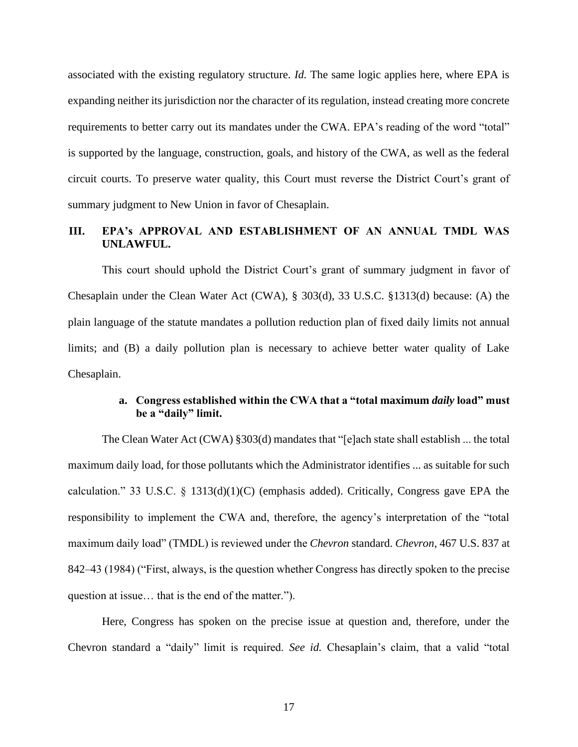associated with the existing regulatory structure. *Id.* The same logic applies here, where EPA is expanding neither its jurisdiction nor the character of its regulation, instead creating more concrete requirements to better carry out its mandates under the CWA. EPA's reading of the word "total" is supported by the language, construction, goals, and history of the CWA, as well as the federal circuit courts. To preserve water quality, this Court must reverse the District Court's grant of summary judgment to New Union in favor of Chesaplain.

## **III. EPA's APPROVAL AND ESTABLISHMENT OF AN ANNUAL TMDL WAS UNLAWFUL.**

This court should uphold the District Court's grant of summary judgment in favor of Chesaplain under the Clean Water Act (CWA), § 303(d), 33 U.S.C. §1313(d) because: (A) the plain language of the statute mandates a pollution reduction plan of fixed daily limits not annual limits; and (B) a daily pollution plan is necessary to achieve better water quality of Lake Chesaplain.

## **a. Congress established within the CWA that a "total maximum** *daily* **load" must be a "daily" limit.**

The Clean Water Act (CWA) §303(d) mandates that "[e]ach state shall establish ... the total maximum daily load, for those pollutants which the Administrator identifies ... as suitable for such calculation." 33 U.S.C.  $\S$  1313(d)(1)(C) (emphasis added). Critically, Congress gave EPA the responsibility to implement the CWA and, therefore, the agency's interpretation of the "total maximum daily load" (TMDL) is reviewed under the *Chevron* standard. *Chevron*, 467 U.S. 837 at 842–43 (1984) ("First, always, is the question whether Congress has directly spoken to the precise question at issue… that is the end of the matter.").

Here, Congress has spoken on the precise issue at question and, therefore, under the Chevron standard a "daily" limit is required. *See id.* Chesaplain's claim, that a valid "total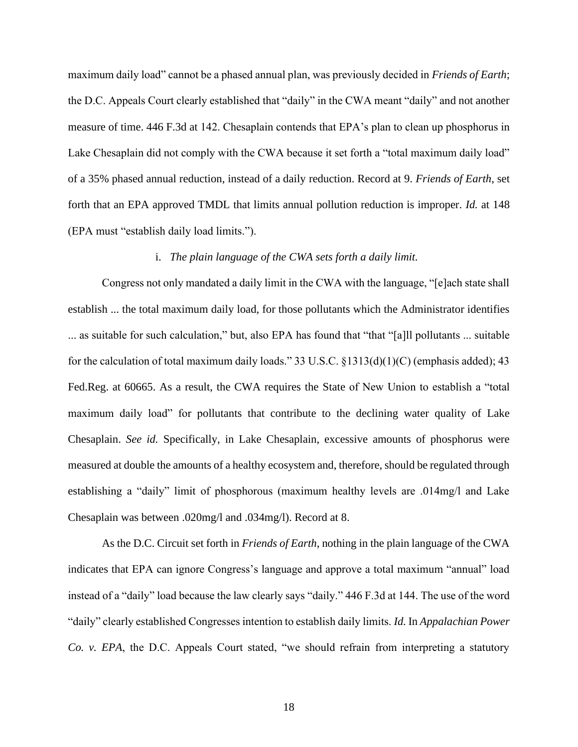maximum daily load" cannot be a phased annual plan, was previously decided in *Friends of Earth*; the D.C. Appeals Court clearly established that "daily" in the CWA meant "daily" and not another measure of time. 446 F.3d at 142. Chesaplain contends that EPA's plan to clean up phosphorus in Lake Chesaplain did not comply with the CWA because it set forth a "total maximum daily load" of a 35% phased annual reduction, instead of a daily reduction. Record at 9. *Friends of Earth*, set forth that an EPA approved TMDL that limits annual pollution reduction is improper. *Id.* at 148 (EPA must "establish daily load limits.").

#### i. *The plain language of the CWA sets forth a daily limit.*

Congress not only mandated a daily limit in the CWA with the language, "[e]ach state shall establish ... the total maximum daily load, for those pollutants which the Administrator identifies ... as suitable for such calculation," but, also EPA has found that "that "[a]ll pollutants ... suitable for the calculation of total maximum daily loads." 33 U.S.C. §1313(d)(1)(C) (emphasis added); 43 Fed.Reg. at 60665. As a result, the CWA requires the State of New Union to establish a "total maximum daily load" for pollutants that contribute to the declining water quality of Lake Chesaplain. *See id.* Specifically, in Lake Chesaplain, excessive amounts of phosphorus were measured at double the amounts of a healthy ecosystem and, therefore, should be regulated through establishing a "daily" limit of phosphorous (maximum healthy levels are .014mg/l and Lake Chesaplain was between .020mg/l and .034mg/l). Record at 8.

As the D.C. Circuit set forth in *Friends of Earth*, nothing in the plain language of the CWA indicates that EPA can ignore Congress's language and approve a total maximum "annual" load instead of a "daily" load because the law clearly says "daily." 446 F.3d at 144. The use of the word "daily" clearly established Congresses intention to establish daily limits. *Id.* In *Appalachian Power Co. v. EPA*, the D.C. Appeals Court stated, "we should refrain from interpreting a statutory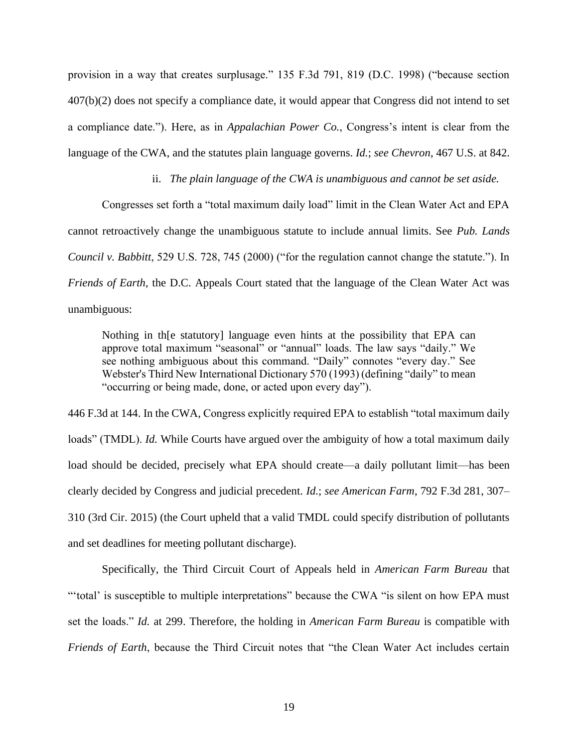provision in a way that creates surplusage." 135 F.3d 791, 819 (D.C. 1998) ("because section 407(b)(2) does not specify a compliance date, it would appear that Congress did not intend to set a compliance date."). Here, as in *Appalachian Power Co.*, Congress's intent is clear from the language of the CWA, and the statutes plain language governs. *Id.*; *see Chevron*, 467 U.S. at 842.

ii. *The plain language of the CWA is unambiguous and cannot be set aside.*

Congresses set forth a "total maximum daily load" limit in the Clean Water Act and EPA cannot retroactively change the unambiguous statute to include annual limits. See *Pub. Lands Council v. Babbitt*, 529 U.S. 728, 745 (2000) ("for the regulation cannot change the statute."). In *Friends of Earth*, the D.C. Appeals Court stated that the language of the Clean Water Act was unambiguous:

Nothing in th[e statutory] language even hints at the possibility that EPA can approve total maximum "seasonal" or "annual" loads. The law says "daily." We see nothing ambiguous about this command. "Daily" connotes "every day." See Webster's Third New International Dictionary 570 (1993) (defining "daily" to mean "occurring or being made, done, or acted upon every day").

446 F.3d at 144. In the CWA, Congress explicitly required EPA to establish "total maximum daily loads" (TMDL). *Id.* While Courts have argued over the ambiguity of how a total maximum daily load should be decided, precisely what EPA should create—a daily pollutant limit—has been clearly decided by Congress and judicial precedent. *Id.*; *see American Farm*, 792 F.3d 281, 307– 310 (3rd Cir. 2015) (the Court upheld that a valid TMDL could specify distribution of pollutants and set deadlines for meeting pollutant discharge).

Specifically, the Third Circuit Court of Appeals held in *American Farm Bureau* that "'total' is susceptible to multiple interpretations" because the CWA "is silent on how EPA must set the loads." *Id.* at 299. Therefore, the holding in *American Farm Bureau* is compatible with *Friends of Earth*, because the Third Circuit notes that "the Clean Water Act includes certain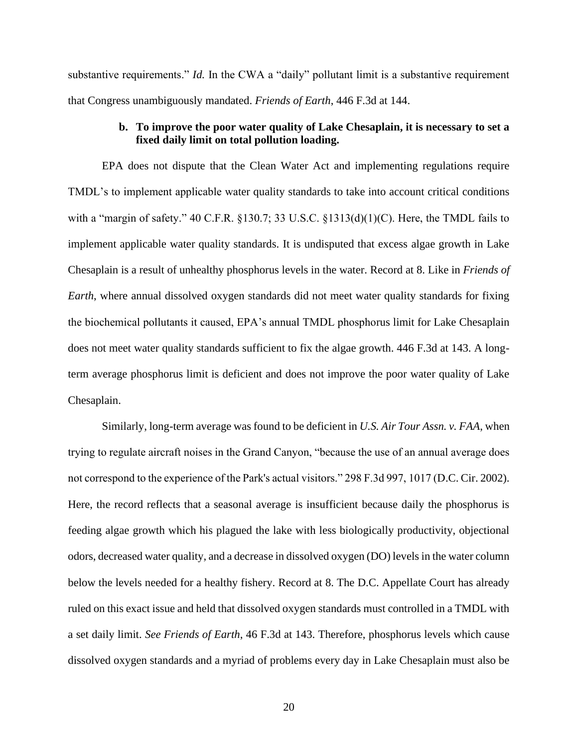substantive requirements." *Id.* In the CWA a "daily" pollutant limit is a substantive requirement that Congress unambiguously mandated. *Friends of Earth*, 446 F.3d at 144.

## **b. To improve the poor water quality of Lake Chesaplain, it is necessary to set a fixed daily limit on total pollution loading.**

EPA does not dispute that the Clean Water Act and implementing regulations require TMDL's to implement applicable water quality standards to take into account critical conditions with a "margin of safety." 40 C.F.R. §130.7; 33 U.S.C. §1313(d)(1)(C). Here, the TMDL fails to implement applicable water quality standards. It is undisputed that excess algae growth in Lake Chesaplain is a result of unhealthy phosphorus levels in the water. Record at 8. Like in *Friends of Earth*, where annual dissolved oxygen standards did not meet water quality standards for fixing the biochemical pollutants it caused, EPA's annual TMDL phosphorus limit for Lake Chesaplain does not meet water quality standards sufficient to fix the algae growth. 446 F.3d at 143. A longterm average phosphorus limit is deficient and does not improve the poor water quality of Lake Chesaplain.

Similarly, long-term average was found to be deficient in *U.S. Air Tour Assn. v. FAA*, when trying to regulate aircraft noises in the Grand Canyon, "because the use of an annual average does not correspond to the experience of the Park's actual visitors." 298 F.3d 997, 1017 (D.C. Cir. 2002). Here, the record reflects that a seasonal average is insufficient because daily the phosphorus is feeding algae growth which his plagued the lake with less biologically productivity, objectional odors, decreased water quality, and a decrease in dissolved oxygen (DO) levels in the water column below the levels needed for a healthy fishery. Record at 8. The D.C. Appellate Court has already ruled on this exact issue and held that dissolved oxygen standards must controlled in a TMDL with a set daily limit. *See Friends of Earth*, 46 F.3d at 143. Therefore, phosphorus levels which cause dissolved oxygen standards and a myriad of problems every day in Lake Chesaplain must also be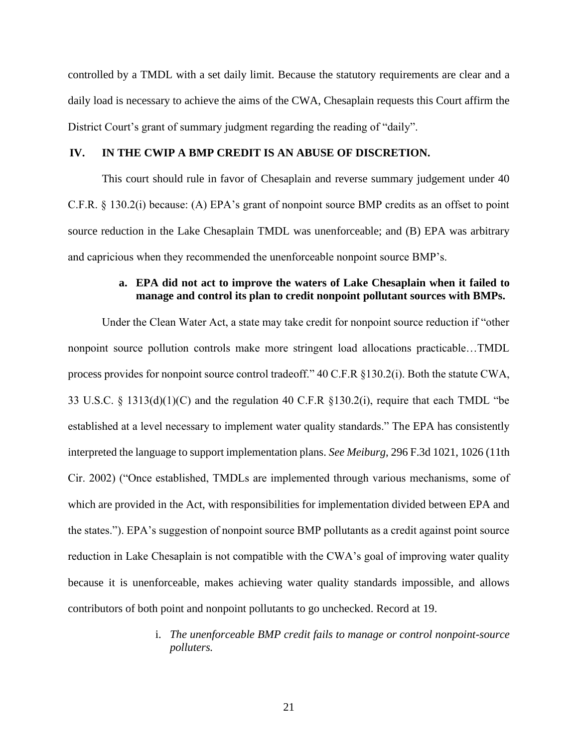controlled by a TMDL with a set daily limit. Because the statutory requirements are clear and a daily load is necessary to achieve the aims of the CWA, Chesaplain requests this Court affirm the District Court's grant of summary judgment regarding the reading of "daily".

#### **IV. IN THE CWIP A BMP CREDIT IS AN ABUSE OF DISCRETION.**

This court should rule in favor of Chesaplain and reverse summary judgement under 40 C.F.R. § 130.2(i) because: (A) EPA's grant of nonpoint source BMP credits as an offset to point source reduction in the Lake Chesaplain TMDL was unenforceable; and (B) EPA was arbitrary and capricious when they recommended the unenforceable nonpoint source BMP's.

## **a. EPA did not act to improve the waters of Lake Chesaplain when it failed to manage and control its plan to credit nonpoint pollutant sources with BMPs.**

Under the Clean Water Act, a state may take credit for nonpoint source reduction if "other nonpoint source pollution controls make more stringent load allocations practicable…TMDL process provides for nonpoint source control tradeoff." 40 C.F.R §130.2(i). Both the statute CWA, 33 U.S.C.  $\S$  1313(d)(1)(C) and the regulation 40 C.F.R  $\S$ 130.2(i), require that each TMDL "be established at a level necessary to implement water quality standards." The EPA has consistently interpreted the language to support implementation plans. *See Meiburg*, 296 F.3d 1021, 1026 (11th Cir. 2002) ("Once established, TMDLs are implemented through various mechanisms, some of which are provided in the Act, with responsibilities for implementation divided between EPA and the states."). EPA's suggestion of nonpoint source BMP pollutants as a credit against point source reduction in Lake Chesaplain is not compatible with the CWA's goal of improving water quality because it is unenforceable, makes achieving water quality standards impossible, and allows contributors of both point and nonpoint pollutants to go unchecked. Record at 19.

> i. *The unenforceable BMP credit fails to manage or control nonpoint-source polluters.*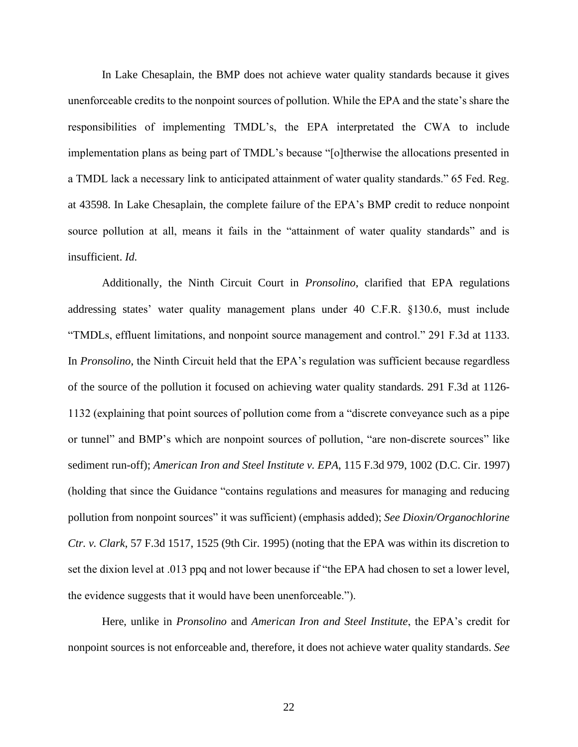In Lake Chesaplain, the BMP does not achieve water quality standards because it gives unenforceable credits to the nonpoint sources of pollution. While the EPA and the state's share the responsibilities of implementing TMDL's, the EPA interpretated the CWA to include implementation plans as being part of TMDL's because "[o]therwise the allocations presented in a TMDL lack a necessary link to anticipated attainment of water quality standards." 65 Fed. Reg. at 43598. In Lake Chesaplain, the complete failure of the EPA's BMP credit to reduce nonpoint source pollution at all, means it fails in the "attainment of water quality standards" and is insufficient. *Id.*

Additionally, the Ninth Circuit Court in *Pronsolino*, clarified that EPA regulations addressing states' water quality management plans under 40 C.F.R. §130.6, must include "TMDLs, effluent limitations, and nonpoint source management and control." 291 F.3d at 1133. In *Pronsolino*, the Ninth Circuit held that the EPA's regulation was sufficient because regardless of the source of the pollution it focused on achieving water quality standards. 291 F.3d at 1126- 1132 (explaining that point sources of pollution come from a "discrete conveyance such as a pipe or tunnel" and BMP's which are nonpoint sources of pollution, "are non-discrete sources" like sediment run-off); *American Iron and Steel Institute v. EPA*, 115 F.3d 979, 1002 (D.C. Cir. 1997) (holding that since the Guidance "contains regulations and measures for managing and reducing pollution from nonpoint sources" it was sufficient) (emphasis added); *See Dioxin/Organochlorine Ctr. v. Clark*, 57 F.3d 1517, 1525 (9th Cir. 1995) (noting that the EPA was within its discretion to set the dixion level at .013 ppq and not lower because if "the EPA had chosen to set a lower level, the evidence suggests that it would have been unenforceable.").

Here, unlike in *Pronsolino* and *American Iron and Steel Institute*, the EPA's credit for nonpoint sources is not enforceable and, therefore, it does not achieve water quality standards. *See*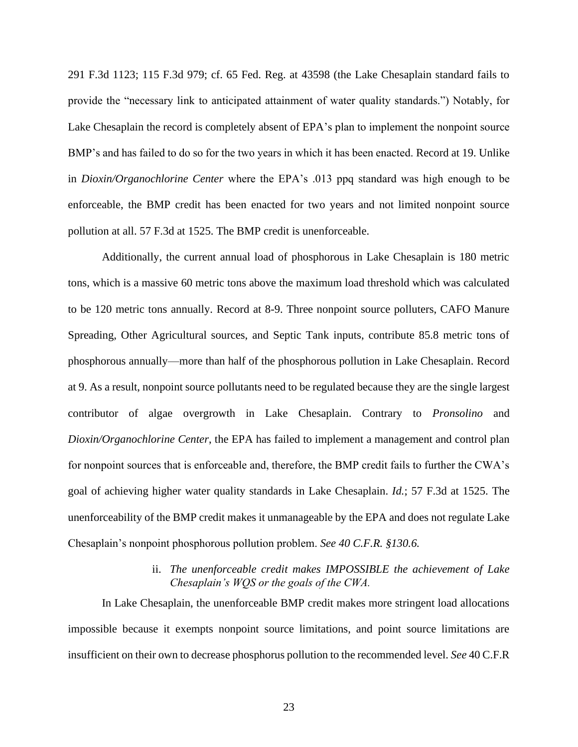291 F.3d 1123; 115 F.3d 979; cf. 65 Fed. Reg. at 43598 (the Lake Chesaplain standard fails to provide the "necessary link to anticipated attainment of water quality standards.") Notably, for Lake Chesaplain the record is completely absent of EPA's plan to implement the nonpoint source BMP's and has failed to do so for the two years in which it has been enacted. Record at 19. Unlike in *Dioxin/Organochlorine Center* where the EPA's .013 ppq standard was high enough to be enforceable, the BMP credit has been enacted for two years and not limited nonpoint source pollution at all. 57 F.3d at 1525. The BMP credit is unenforceable.

Additionally, the current annual load of phosphorous in Lake Chesaplain is 180 metric tons, which is a massive 60 metric tons above the maximum load threshold which was calculated to be 120 metric tons annually. Record at 8-9. Three nonpoint source polluters, CAFO Manure Spreading, Other Agricultural sources, and Septic Tank inputs, contribute 85.8 metric tons of phosphorous annually––more than half of the phosphorous pollution in Lake Chesaplain. Record at 9. As a result, nonpoint source pollutants need to be regulated because they are the single largest contributor of algae overgrowth in Lake Chesaplain. Contrary to *Pronsolino* and *Dioxin/Organochlorine Center*, the EPA has failed to implement a management and control plan for nonpoint sources that is enforceable and, therefore, the BMP credit fails to further the CWA's goal of achieving higher water quality standards in Lake Chesaplain. *Id.*; 57 F.3d at 1525. The unenforceability of the BMP credit makes it unmanageable by the EPA and does not regulate Lake Chesaplain's nonpoint phosphorous pollution problem. *See 40 C.F.R. §130.6.*

## ii. *The unenforceable credit makes IMPOSSIBLE the achievement of Lake Chesaplain's WQS or the goals of the CWA.*

In Lake Chesaplain, the unenforceable BMP credit makes more stringent load allocations impossible because it exempts nonpoint source limitations, and point source limitations are insufficient on their own to decrease phosphorus pollution to the recommended level. *See* 40 C.F.R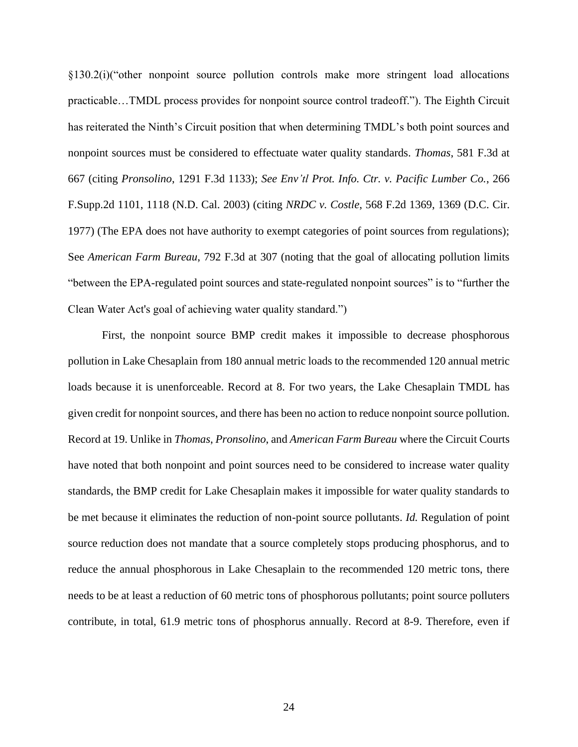§130.2(i)("other nonpoint source pollution controls make more stringent load allocations practicable…TMDL process provides for nonpoint source control tradeoff."). The Eighth Circuit has reiterated the Ninth's Circuit position that when determining TMDL's both point sources and nonpoint sources must be considered to effectuate water quality standards. *Thomas*, 581 F.3d at 667 (citing *Pronsolino*, 1291 F.3d 1133); *See Env'tl Prot. Info. Ctr. v. Pacific Lumber Co.*, 266 F.Supp.2d 1101, 1118 (N.D. Cal. 2003) (citing *NRDC v. Costle*, 568 F.2d 1369, 1369 (D.C. Cir. 1977) (The EPA does not have authority to exempt categories of point sources from regulations); See *American Farm Bureau*, 792 F.3d at 307 (noting that the goal of allocating pollution limits "between the EPA-regulated point sources and state-regulated nonpoint sources" is to "further the Clean Water Act's goal of achieving water quality standard.")

First, the nonpoint source BMP credit makes it impossible to decrease phosphorous pollution in Lake Chesaplain from 180 annual metric loads to the recommended 120 annual metric loads because it is unenforceable. Record at 8. For two years, the Lake Chesaplain TMDL has given credit for nonpoint sources, and there has been no action to reduce nonpoint source pollution. Record at 19. Unlike in *Thomas*, *Pronsolino*, and *American Farm Bureau* where the Circuit Courts have noted that both nonpoint and point sources need to be considered to increase water quality standards, the BMP credit for Lake Chesaplain makes it impossible for water quality standards to be met because it eliminates the reduction of non-point source pollutants. *Id.* Regulation of point source reduction does not mandate that a source completely stops producing phosphorus, and to reduce the annual phosphorous in Lake Chesaplain to the recommended 120 metric tons, there needs to be at least a reduction of 60 metric tons of phosphorous pollutants; point source polluters contribute, in total, 61.9 metric tons of phosphorus annually. Record at 8-9. Therefore, even if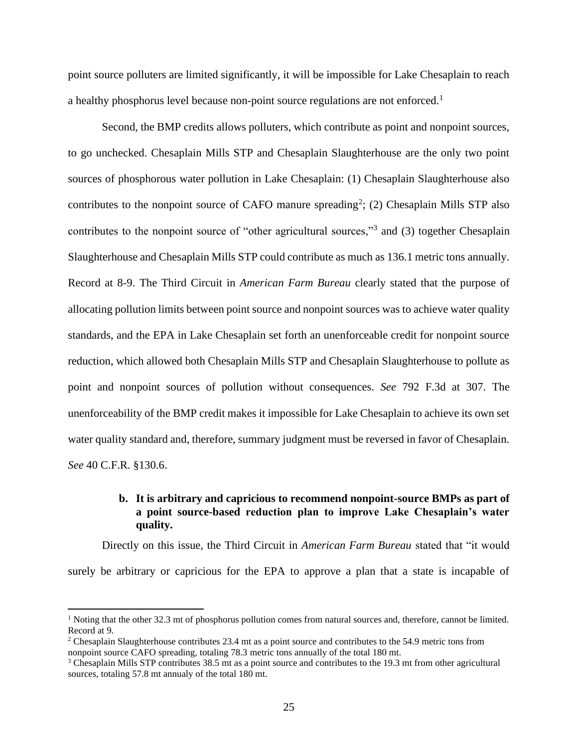point source polluters are limited significantly, it will be impossible for Lake Chesaplain to reach a healthy phosphorus level because non-point source regulations are not enforced.<sup>1</sup>

Second, the BMP credits allows polluters, which contribute as point and nonpoint sources, to go unchecked. Chesaplain Mills STP and Chesaplain Slaughterhouse are the only two point sources of phosphorous water pollution in Lake Chesaplain: (1) Chesaplain Slaughterhouse also contributes to the nonpoint source of CAFO manure spreading<sup>2</sup>; (2) Chesaplain Mills STP also contributes to the nonpoint source of "other agricultural sources,"<sup>3</sup> and (3) together Chesaplain Slaughterhouse and Chesaplain Mills STP could contribute as much as 136.1 metric tons annually. Record at 8-9. The Third Circuit in *American Farm Bureau* clearly stated that the purpose of allocating pollution limits between point source and nonpoint sources was to achieve water quality standards, and the EPA in Lake Chesaplain set forth an unenforceable credit for nonpoint source reduction, which allowed both Chesaplain Mills STP and Chesaplain Slaughterhouse to pollute as point and nonpoint sources of pollution without consequences. *See* 792 F.3d at 307. The unenforceability of the BMP credit makes it impossible for Lake Chesaplain to achieve its own set water quality standard and, therefore, summary judgment must be reversed in favor of Chesaplain. *See* 40 C.F.R. §130.6.

## **b. It is arbitrary and capricious to recommend nonpoint-source BMPs as part of a point source-based reduction plan to improve Lake Chesaplain's water quality.**

Directly on this issue, the Third Circuit in *American Farm Bureau* stated that "it would surely be arbitrary or capricious for the EPA to approve a plan that a state is incapable of

<sup>&</sup>lt;sup>1</sup> Noting that the other 32.3 mt of phosphorus pollution comes from natural sources and, therefore, cannot be limited. Record at 9.

<sup>2</sup> Chesaplain Slaughterhouse contributes 23.4 mt as a point source and contributes to the 54.9 metric tons from nonpoint source CAFO spreading, totaling 78.3 metric tons annually of the total 180 mt.

<sup>3</sup> Chesaplain Mills STP contributes 38.5 mt as a point source and contributes to the 19.3 mt from other agricultural sources, totaling 57.8 mt annualy of the total 180 mt.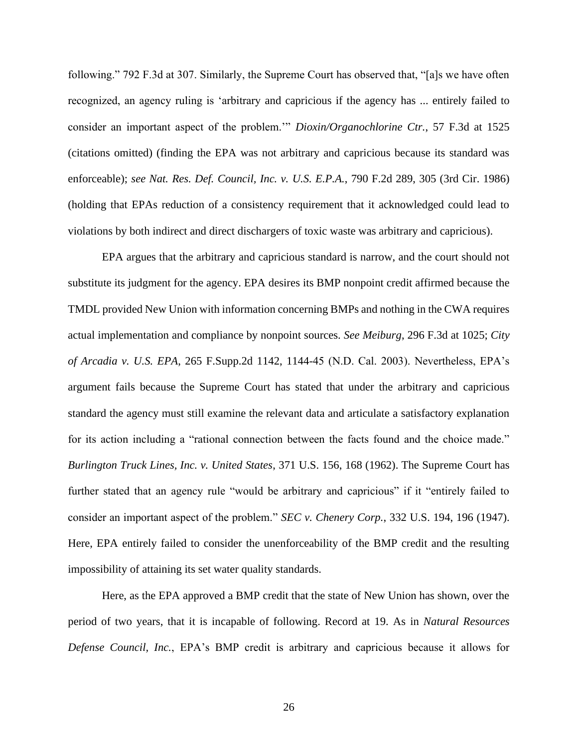following." 792 F.3d at 307. Similarly, the Supreme Court has observed that, "[a]s we have often recognized, an agency ruling is 'arbitrary and capricious if the agency has ... entirely failed to consider an important aspect of the problem.'" *Dioxin/Organochlorine Ctr.*, 57 F.3d at 1525 (citations omitted) (finding the EPA was not arbitrary and capricious because its standard was enforceable); *see Nat. Res. Def. Council, Inc. v. U.S. E.P.A.*, 790 F.2d 289, 305 (3rd Cir. 1986) (holding that EPAs reduction of a consistency requirement that it acknowledged could lead to violations by both indirect and direct dischargers of toxic waste was arbitrary and capricious).

EPA argues that the arbitrary and capricious standard is narrow, and the court should not substitute its judgment for the agency. EPA desires its BMP nonpoint credit affirmed because the TMDL provided New Union with information concerning BMPs and nothing in the CWA requires actual implementation and compliance by nonpoint sources. *See Meiburg*, 296 F.3d at 1025; *City of Arcadia v. U.S. EPA*, 265 F.Supp.2d 1142, 1144-45 (N.D. Cal. 2003). Nevertheless, EPA's argument fails because the Supreme Court has stated that under the arbitrary and capricious standard the agency must still examine the relevant data and articulate a satisfactory explanation for its action including a "rational connection between the facts found and the choice made." *Burlington Truck Lines, Inc. v. United States*, 371 U.S. 156, 168 (1962). The Supreme Court has further stated that an agency rule "would be arbitrary and capricious" if it "entirely failed to consider an important aspect of the problem." *SEC v. Chenery Corp.*, 332 U.S. 194, 196 (1947). Here, EPA entirely failed to consider the unenforceability of the BMP credit and the resulting impossibility of attaining its set water quality standards.

Here, as the EPA approved a BMP credit that the state of New Union has shown, over the period of two years, that it is incapable of following. Record at 19. As in *Natural Resources Defense Council, Inc.*, EPA's BMP credit is arbitrary and capricious because it allows for